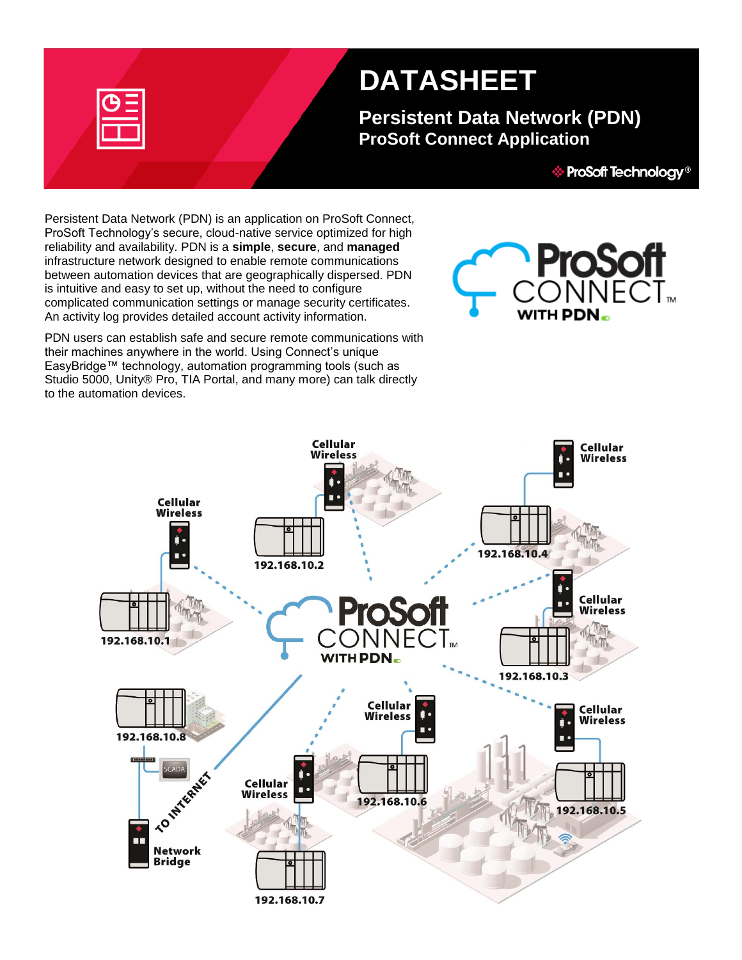| _<br>--                                                                                       |  |
|-----------------------------------------------------------------------------------------------|--|
| ___<br>___<br>the contract of the contract of the contract of the contract of the contract of |  |

# **DATASHEET**

**Persistent Data Network (PDN) ProSoft Connect Application**

**In ProSoft Technology<sup>®</sup>** 

Persistent Data Network (PDN) is an application on ProSoft Connect, ProSoft Technology's secure, cloud-native service optimized for high reliability and availability. PDN is a **simple**, **secure**, and **managed** infrastructure network designed to enable remote communications between automation devices that are geographically dispersed. PDN is intuitive and easy to set up, without the need to configure complicated communication settings or manage security certificates. An activity log provides detailed account activity information.



PDN users can establish safe and secure remote communications with their machines anywhere in the world. Using Connect's unique EasyBridge™ technology, automation programming tools (such as Studio 5000, Unity® Pro, TIA Portal, and many more) can talk directly to the automation devices.

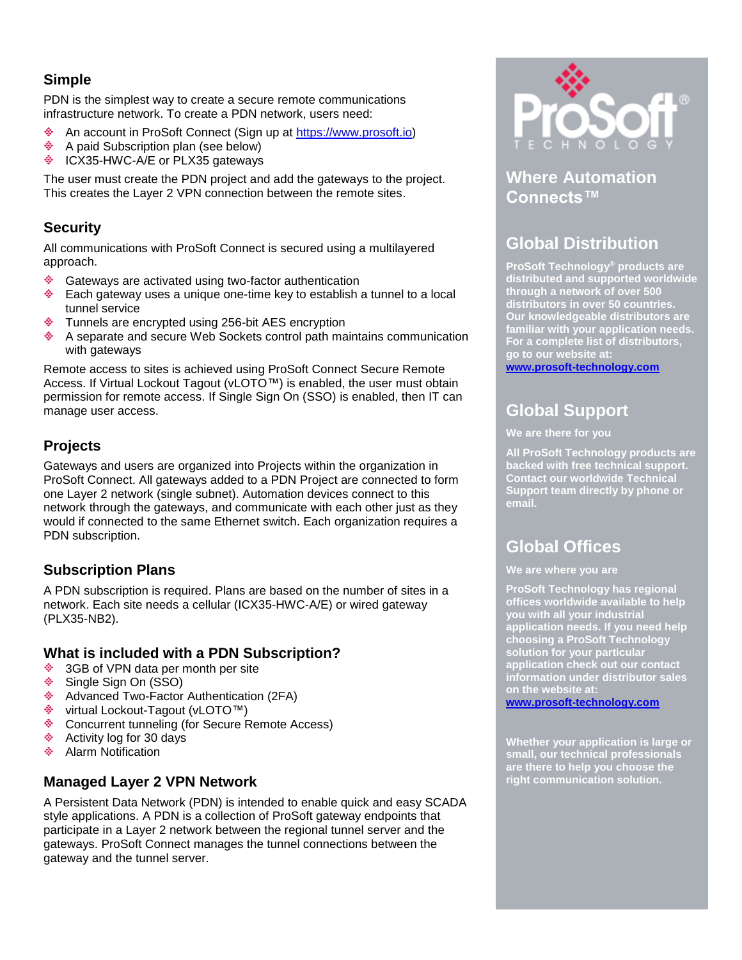#### **Simple**

PDN is the simplest way to create a secure remote communications infrastructure network. To create a PDN network, users need:

- ŵ. An account in ProSoft Connect (Sign up at [https://www.prosoft.io\)](https://www.prosoft.io/)
- ŵ. A paid Subscription plan (see below)
- ٠ ICX35-HWC-A/E or PLX35 gateways

The user must create the PDN project and add the gateways to the project. This creates the Layer 2 VPN connection between the remote sites.

#### **Security**

All communications with ProSoft Connect is secured using a multilayered approach.

- ŵ. Gateways are activated using two-factor authentication
- ۰ Each gateway uses a unique one-time key to establish a tunnel to a local tunnel service
- Tunnels are encrypted using 256-bit AES encryption ŵ.
- ٠ A separate and secure Web Sockets control path maintains communication with gateways

Remote access to sites is achieved using ProSoft Connect Secure Remote Access. If Virtual Lockout Tagout (vLOTO™) is enabled, the user must obtain permission for remote access. If Single Sign On (SSO) is enabled, then IT can manage user access.

#### **Projects**

Gateways and users are organized into Projects within the organization in ProSoft Connect. All gateways added to a PDN Project are connected to form one Layer 2 network (single subnet). Automation devices connect to this network through the gateways, and communicate with each other just as they would if connected to the same Ethernet switch. Each organization requires a PDN subscription.

#### **Subscription Plans**

A PDN subscription is required. Plans are based on the number of sites in a network. Each site needs a cellular (ICX35-HWC-A/E) or wired gateway (PLX35-NB2).

#### **What is included with a PDN Subscription?**

- ŵ. 3GB of VPN data per month per site
- ٠ Single Sign On (SSO)
- ÷. Advanced Two-Factor Authentication (2FA)
- 黍 virtual Lockout-Tagout (vLOTO™)
- Concurrent tunneling (for Secure Remote Access) ŵ.
- eller i 19 Activity log for 30 days
- alian. Alarm Notification

#### **Managed Layer 2 VPN Network**

A Persistent Data Network (PDN) is intended to enable quick and easy SCADA style applications. A PDN is a collection of ProSoft gateway endpoints that participate in a Layer 2 network between the regional tunnel server and the gateways. ProSoft Connect manages the tunnel connections between the gateway and the tunnel server.



**Where Automation Connects™**

## **Global Distribution**

**ProSoft Technology® products are distributed and supported worldwide through a network of over 500 distributors in over 50 countries. Our knowledgeable distributors are familiar with your application needs. For a complete list of distributors, go to our website at:**

**[www.prosoft-technology.com](http://www.prosoft-technology.com/)**

# **Global Support**

**We are there for you**

**All ProSoft Technology products are backed with free technical support. Contact our worldwide Technical Support team directly by phone or email.**

# **Global Offices**

#### **We are where you are**

**ProSoft Technology has regional offices worldwide available to help you with all your industrial application needs. If you need help choosing a ProSoft Technology solution for your particular application check out our contact information under distributor sales on the website at:**

**[www.prosoft-technology.com](http://www.prosoft-technology.com/)**

**Whether your application is large or small, our technical professionals are there to help you choose the right communication solution.**